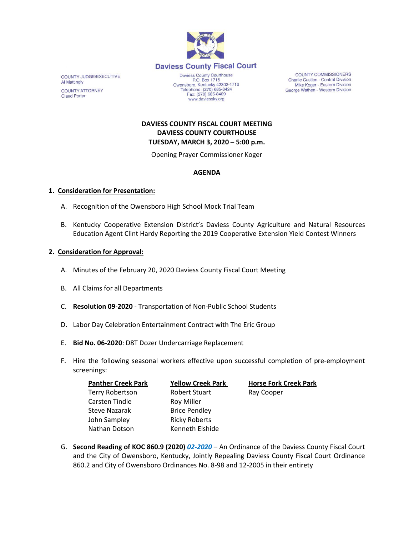

COUNTY JUDGE/EXECUTIVE **Al Mattingly COUNTY ATTORNEY Claud Porter** 

Daviess County Courthouse P.O. Box 1716 Owensboro, Kentucky 42302-1716<br>Telephone: (270) 685-8424 Fax: (270) 685-8469 www.daviessky.org

**COUNTY COMMISSIONERS** Charlie Castlen - Central Division Mike Koger - Eastern Division George Wathen - Western Division

# **DAVIESS COUNTY FISCAL COURT MEETING DAVIESS COUNTY COURTHOUSE TUESDAY, MARCH 3, 2020 – 5:00 p.m.**

Opening Prayer Commissioner Koger

## **AGENDA**

#### **1. Consideration for Presentation:**

- A. Recognition of the Owensboro High School Mock Trial Team
- B. Kentucky Cooperative Extension District's Daviess County Agriculture and Natural Resources Education Agent Clint Hardy Reporting the 2019 Cooperative Extension Yield Contest Winners

#### **2. Consideration for Approval:**

- A. Minutes of the February 20, 2020 Daviess County Fiscal Court Meeting
- B. All Claims for all Departments
- C. **Resolution 09-2020** Transportation of Non-Public School Students
- D. Labor Day Celebration Entertainment Contract with The Eric Group
- E. **Bid No. 06-2020**: D8T Dozer Undercarriage Replacement
- F. Hire the following seasonal workers effective upon successful completion of pre-employment screenings:

| <b>Panther Creek Park</b> | <b>Yellow Creek Park</b> | <b>Horse Fork Creek Park</b> |
|---------------------------|--------------------------|------------------------------|
| Terry Robertson           | <b>Robert Stuart</b>     | Ray Cooper                   |
| Carsten Tindle            | <b>Roy Miller</b>        |                              |
| Steve Nazarak             | <b>Brice Pendley</b>     |                              |
| John Sampley              | <b>Ricky Roberts</b>     |                              |
| Nathan Dotson             | Kenneth Elshide          |                              |

G. **Second Reading of KOC 860.9 (2020)** *02-2020* – An Ordinance of the Daviess County Fiscal Court and the City of Owensboro, Kentucky, Jointly Repealing Daviess County Fiscal Court Ordinance 860.2 and City of Owensboro Ordinances No. 8-98 and 12-2005 in their entirety